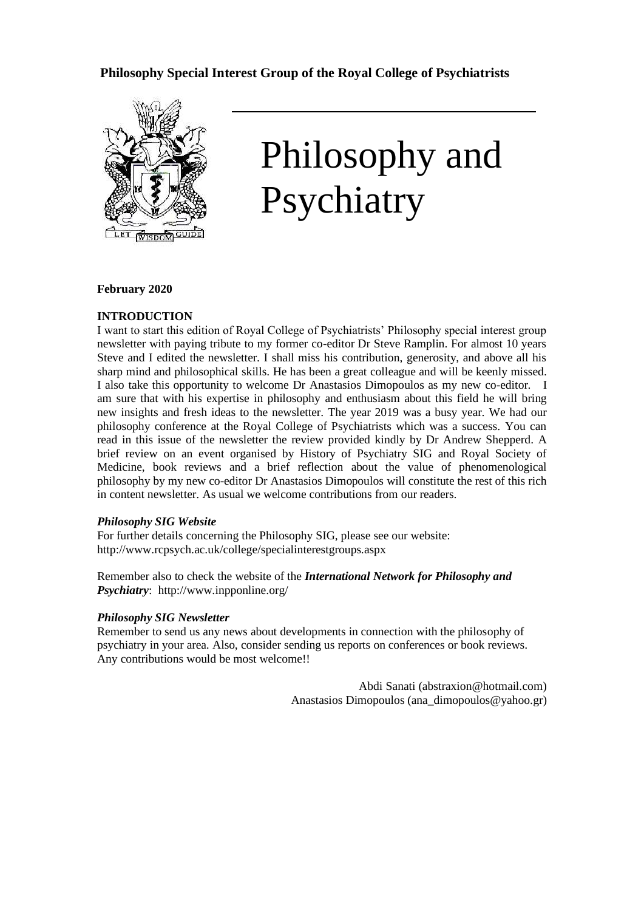# **Philosophy Special Interest Group of the Royal College of Psychiatrists**



# Philosophy and Psychiatry

## **February 2020**

## **INTRODUCTION**

I want to start this edition of Royal College of Psychiatrists' Philosophy special interest group newsletter with paying tribute to my former co-editor Dr Steve Ramplin. For almost 10 years Steve and I edited the newsletter. I shall miss his contribution, generosity, and above all his sharp mind and philosophical skills. He has been a great colleague and will be keenly missed. I also take this opportunity to welcome Dr Anastasios Dimopoulos as my new co-editor. I am sure that with his expertise in philosophy and enthusiasm about this field he will bring new insights and fresh ideas to the newsletter. The year 2019 was a busy year. We had our philosophy conference at the Royal College of Psychiatrists which was a success. You can read in this issue of the newsletter the review provided kindly by Dr Andrew Shepperd. A brief review on an event organised by History of Psychiatry SIG and Royal Society of Medicine, book reviews and a brief reflection about the value of phenomenological philosophy by my new co-editor Dr Anastasios Dimopoulos will constitute the rest of this rich in content newsletter. As usual we welcome contributions from our readers.

#### *Philosophy SIG Website*

For further details concerning the Philosophy SIG, please see our website: http://www.rcpsych.ac.uk/college/specialinterestgroups.aspx

Remember also to check the website of the *International Network for Philosophy and Psychiatry*: http://www.inpponline.org/

#### *Philosophy SIG Newsletter*

Remember to send us any news about developments in connection with the philosophy of psychiatry in your area. Also, consider sending us reports on conferences or book reviews. Any contributions would be most welcome!!

> Abdi Sanati (abstraxion@hotmail.com) Anastasios Dimopoulos (ana\_dimopoulos@yahoo.gr)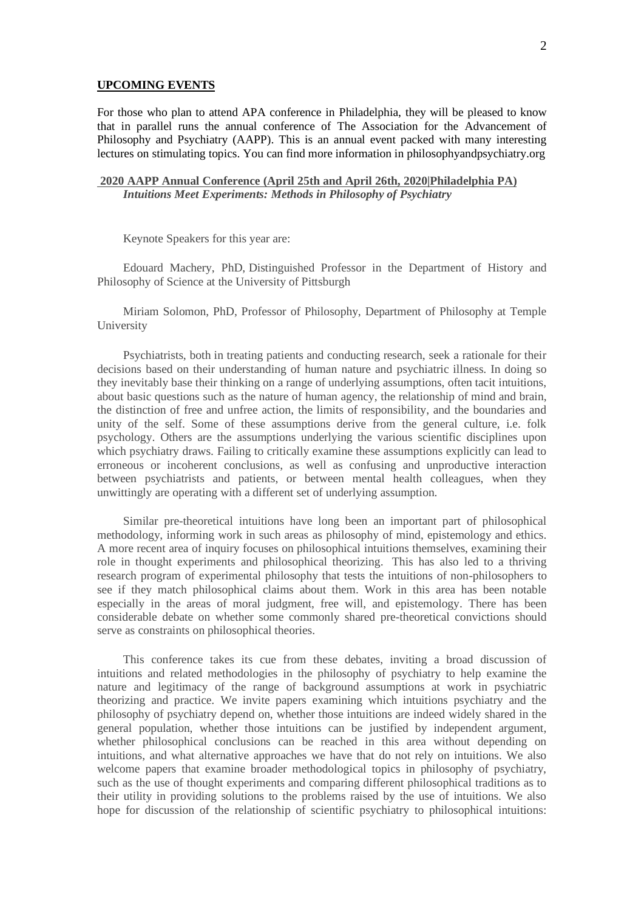## **UPCOMING EVENTS**

For those who plan to attend APA conference in Philadelphia, they will be pleased to know that in parallel runs the annual conference of The Association for the Advancement of Philosophy and Psychiatry (AAPP). This is an annual event packed with many interesting lectures on stimulating topics. You can find more information in philosophyandpsychiatry.org

## **2020 AAPP Annual Conference (April 25th and April 26th, [2020|Philadelphia](https://philosophyandpsychiatry.org/meetings-conferences/) PA)** *Intuitions Meet Experiments: Methods in Philosophy of Psychiatry*

Keynote Speakers for this year are:

Edouard Machery, PhD, Distinguished Professor in the Department of History and Philosophy of Science at the University of Pittsburgh

Miriam Solomon, PhD, Professor of Philosophy, Department of Philosophy at Temple University

Psychiatrists, both in treating patients and conducting research, seek a rationale for their decisions based on their understanding of human nature and psychiatric illness. In doing so they inevitably base their thinking on a range of underlying assumptions, often tacit intuitions, about basic questions such as the nature of human agency, the relationship of mind and brain, the distinction of free and unfree action, the limits of responsibility, and the boundaries and unity of the self. Some of these assumptions derive from the general culture, i.e. folk psychology. Others are the assumptions underlying the various scientific disciplines upon which psychiatry draws. Failing to critically examine these assumptions explicitly can lead to erroneous or incoherent conclusions, as well as confusing and unproductive interaction between psychiatrists and patients, or between mental health colleagues, when they unwittingly are operating with a different set of underlying assumption.

Similar pre-theoretical intuitions have long been an important part of philosophical methodology, informing work in such areas as philosophy of mind, epistemology and ethics. A more recent area of inquiry focuses on philosophical intuitions themselves, examining their role in thought experiments and philosophical theorizing. This has also led to a thriving research program of experimental philosophy that tests the intuitions of non-philosophers to see if they match philosophical claims about them. Work in this area has been notable especially in the areas of moral judgment, free will, and epistemology. There has been considerable debate on whether some commonly shared pre-theoretical convictions should serve as constraints on philosophical theories.

This conference takes its cue from these debates, inviting a broad discussion of intuitions and related methodologies in the philosophy of psychiatry to help examine the nature and legitimacy of the range of background assumptions at work in psychiatric theorizing and practice. We invite papers examining which intuitions psychiatry and the philosophy of psychiatry depend on, whether those intuitions are indeed widely shared in the general population, whether those intuitions can be justified by independent argument, whether philosophical conclusions can be reached in this area without depending on intuitions, and what alternative approaches we have that do not rely on intuitions. We also welcome papers that examine broader methodological topics in philosophy of psychiatry, such as the use of thought experiments and comparing different philosophical traditions as to their utility in providing solutions to the problems raised by the use of intuitions. We also hope for discussion of the relationship of scientific psychiatry to philosophical intuitions: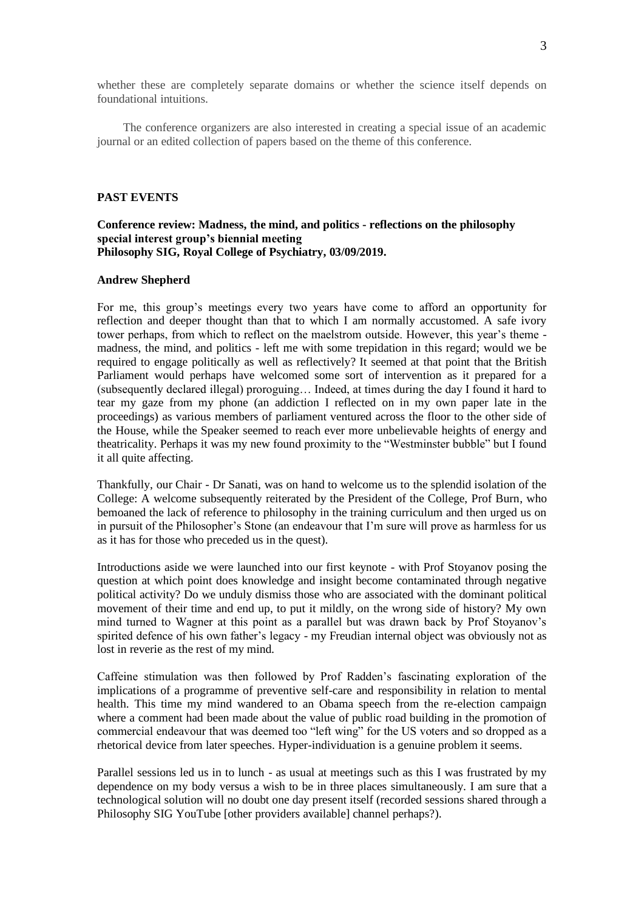whether these are completely separate domains or whether the science itself depends on foundational intuitions.

The conference organizers are also interested in creating a special issue of an academic journal or an edited collection of papers based on the theme of this conference.

## **PAST EVENTS**

## **Conference review: Madness, the mind, and politics - reflections on the philosophy special interest group's biennial meeting Philosophy SIG, Royal College of Psychiatry, 03/09/2019.**

## **Andrew Shepherd**

For me, this group's meetings every two years have come to afford an opportunity for reflection and deeper thought than that to which I am normally accustomed. A safe ivory tower perhaps, from which to reflect on the maelstrom outside. However, this year's theme madness, the mind, and politics - left me with some trepidation in this regard; would we be required to engage politically as well as reflectively? It seemed at that point that the British Parliament would perhaps have welcomed some sort of intervention as it prepared for a (subsequently declared illegal) proroguing… Indeed, at times during the day I found it hard to tear my gaze from my phone (an addiction I reflected on in my own paper late in the proceedings) as various members of parliament ventured across the floor to the other side of the House, while the Speaker seemed to reach ever more unbelievable heights of energy and theatricality. Perhaps it was my new found proximity to the "Westminster bubble" but I found it all quite affecting.

Thankfully, our Chair - Dr Sanati, was on hand to welcome us to the splendid isolation of the College: A welcome subsequently reiterated by the President of the College, Prof Burn, who bemoaned the lack of reference to philosophy in the training curriculum and then urged us on in pursuit of the Philosopher's Stone (an endeavour that I'm sure will prove as harmless for us as it has for those who preceded us in the quest).

Introductions aside we were launched into our first keynote - with Prof Stoyanov posing the question at which point does knowledge and insight become contaminated through negative political activity? Do we unduly dismiss those who are associated with the dominant political movement of their time and end up, to put it mildly, on the wrong side of history? My own mind turned to Wagner at this point as a parallel but was drawn back by Prof Stoyanov's spirited defence of his own father's legacy - my Freudian internal object was obviously not as lost in reverie as the rest of my mind.

Caffeine stimulation was then followed by Prof Radden's fascinating exploration of the implications of a programme of preventive self-care and responsibility in relation to mental health. This time my mind wandered to an Obama speech from the re-election campaign where a comment had been made about the value of public road building in the promotion of commercial endeavour that was deemed too "left wing" for the US voters and so dropped as a rhetorical device from later speeches. Hyper-individuation is a genuine problem it seems.

Parallel sessions led us in to lunch - as usual at meetings such as this I was frustrated by my dependence on my body versus a wish to be in three places simultaneously. I am sure that a technological solution will no doubt one day present itself (recorded sessions shared through a Philosophy SIG YouTube [other providers available] channel perhaps?).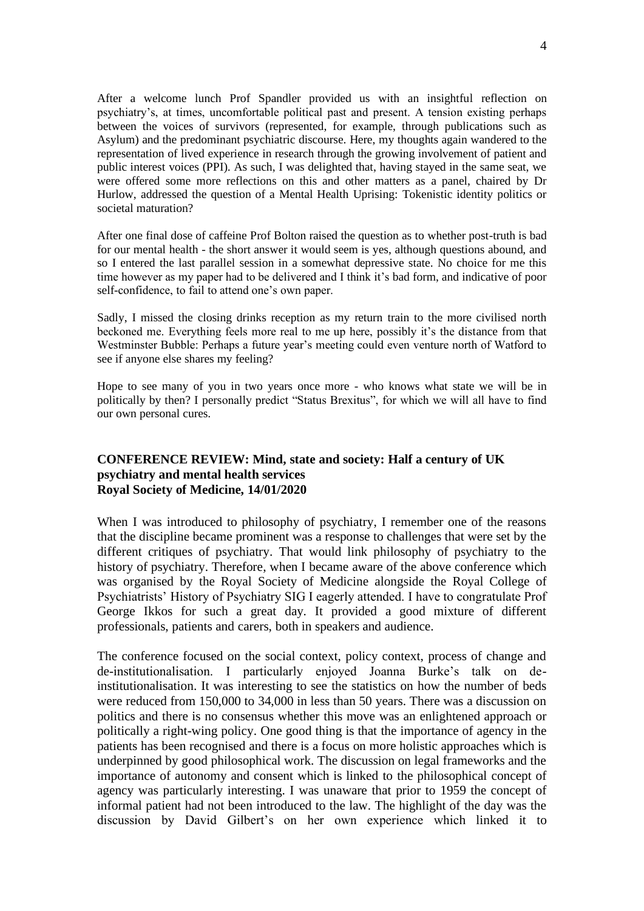After a welcome lunch Prof Spandler provided us with an insightful reflection on psychiatry's, at times, uncomfortable political past and present. A tension existing perhaps between the voices of survivors (represented, for example, through publications such as Asylum) and the predominant psychiatric discourse. Here, my thoughts again wandered to the representation of lived experience in research through the growing involvement of patient and public interest voices (PPI). As such, I was delighted that, having stayed in the same seat, we were offered some more reflections on this and other matters as a panel, chaired by Dr Hurlow, addressed the question of a Mental Health Uprising: Tokenistic identity politics or societal maturation?

After one final dose of caffeine Prof Bolton raised the question as to whether post-truth is bad for our mental health - the short answer it would seem is yes, although questions abound, and so I entered the last parallel session in a somewhat depressive state. No choice for me this time however as my paper had to be delivered and I think it's bad form, and indicative of poor self-confidence, to fail to attend one's own paper.

Sadly, I missed the closing drinks reception as my return train to the more civilised north beckoned me. Everything feels more real to me up here, possibly it's the distance from that Westminster Bubble: Perhaps a future year's meeting could even venture north of Watford to see if anyone else shares my feeling?

Hope to see many of you in two years once more - who knows what state we will be in politically by then? I personally predict "Status Brexitus", for which we will all have to find our own personal cures.

# **CONFERENCE REVIEW: Mind, state and society: Half a century of UK psychiatry and mental health services Royal Society of Medicine, 14/01/2020**

When I was introduced to philosophy of psychiatry, I remember one of the reasons that the discipline became prominent was a response to challenges that were set by the different critiques of psychiatry. That would link philosophy of psychiatry to the history of psychiatry. Therefore, when I became aware of the above conference which was organised by the Royal Society of Medicine alongside the Royal College of Psychiatrists' History of Psychiatry SIG I eagerly attended. I have to congratulate Prof George Ikkos for such a great day. It provided a good mixture of different professionals, patients and carers, both in speakers and audience.

The conference focused on the social context, policy context, process of change and de-institutionalisation. I particularly enjoyed Joanna Burke's talk on deinstitutionalisation. It was interesting to see the statistics on how the number of beds were reduced from 150,000 to 34,000 in less than 50 years. There was a discussion on politics and there is no consensus whether this move was an enlightened approach or politically a right-wing policy. One good thing is that the importance of agency in the patients has been recognised and there is a focus on more holistic approaches which is underpinned by good philosophical work. The discussion on legal frameworks and the importance of autonomy and consent which is linked to the philosophical concept of agency was particularly interesting. I was unaware that prior to 1959 the concept of informal patient had not been introduced to the law. The highlight of the day was the discussion by David Gilbert's on her own experience which linked it to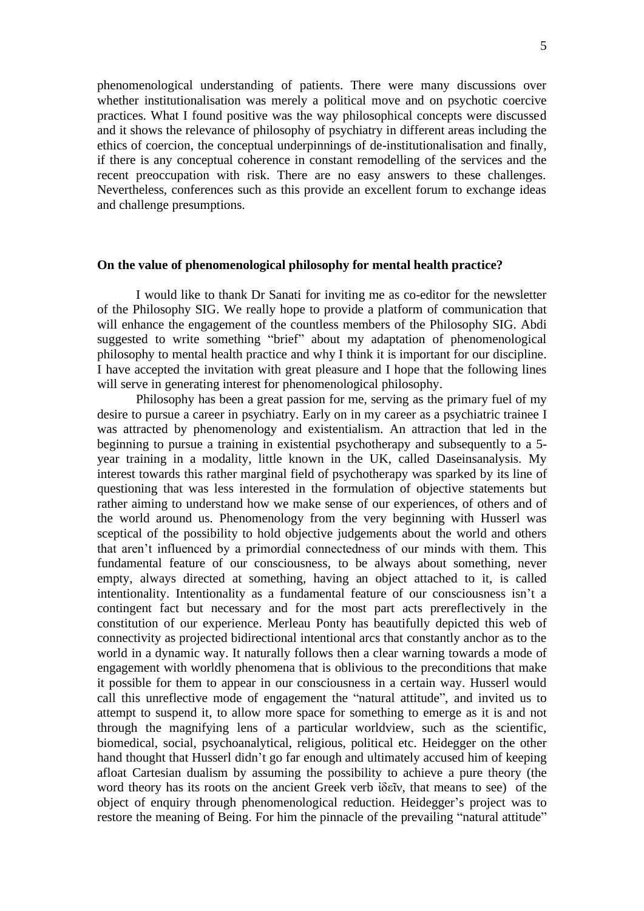phenomenological understanding of patients. There were many discussions over whether institutionalisation was merely a political move and on psychotic coercive practices. What I found positive was the way philosophical concepts were discussed and it shows the relevance of philosophy of psychiatry in different areas including the ethics of coercion, the conceptual underpinnings of de-institutionalisation and finally, if there is any conceptual coherence in constant remodelling of the services and the recent preoccupation with risk. There are no easy answers to these challenges. Nevertheless, conferences such as this provide an excellent forum to exchange ideas and challenge presumptions.

## **On the value of phenomenological philosophy for mental health practice?**

I would like to thank Dr Sanati for inviting me as co-editor for the newsletter of the Philosophy SIG. We really hope to provide a platform of communication that will enhance the engagement of the countless members of the Philosophy SIG. Abdi suggested to write something "brief" about my adaptation of phenomenological philosophy to mental health practice and why I think it is important for our discipline. I have accepted the invitation with great pleasure and I hope that the following lines will serve in generating interest for phenomenological philosophy.

Philosophy has been a great passion for me, serving as the primary fuel of my desire to pursue a career in psychiatry. Early on in my career as a psychiatric trainee I was attracted by phenomenology and existentialism. An attraction that led in the beginning to pursue a training in existential psychotherapy and subsequently to a 5 year training in a modality, little known in the UK, called Daseinsanalysis. My interest towards this rather marginal field of psychotherapy was sparked by its line of questioning that was less interested in the formulation of objective statements but rather aiming to understand how we make sense of our experiences, of others and of the world around us. Phenomenology from the very beginning with Husserl was sceptical of the possibility to hold objective judgements about the world and others that aren't influenced by a primordial connectedness of our minds with them. This fundamental feature of our consciousness, to be always about something, never empty, always directed at something, having an object attached to it, is called intentionality. Intentionality as a fundamental feature of our consciousness isn't a contingent fact but necessary and for the most part acts prereflectively in the constitution of our experience. Merleau Ponty has beautifully depicted this web of connectivity as projected bidirectional intentional arcs that constantly anchor as to the world in a dynamic way. It naturally follows then a clear warning towards a mode of engagement with worldly phenomena that is oblivious to the preconditions that make it possible for them to appear in our consciousness in a certain way. Husserl would call this unreflective mode of engagement the "natural attitude", and invited us to attempt to suspend it, to allow more space for something to emerge as it is and not through the magnifying lens of a particular worldview, such as the scientific, biomedical, social, psychoanalytical, religious, political etc. Heidegger on the other hand thought that Husserl didn't go far enough and ultimately accused him of keeping afloat Cartesian dualism by assuming the possibility to achieve a pure theory (the word theory has its roots on the ancient Greek verb ἰδεῖν, that means to see) of the object of enquiry through phenomenological reduction. Heidegger's project was to restore the meaning of Being. For him the pinnacle of the prevailing "natural attitude"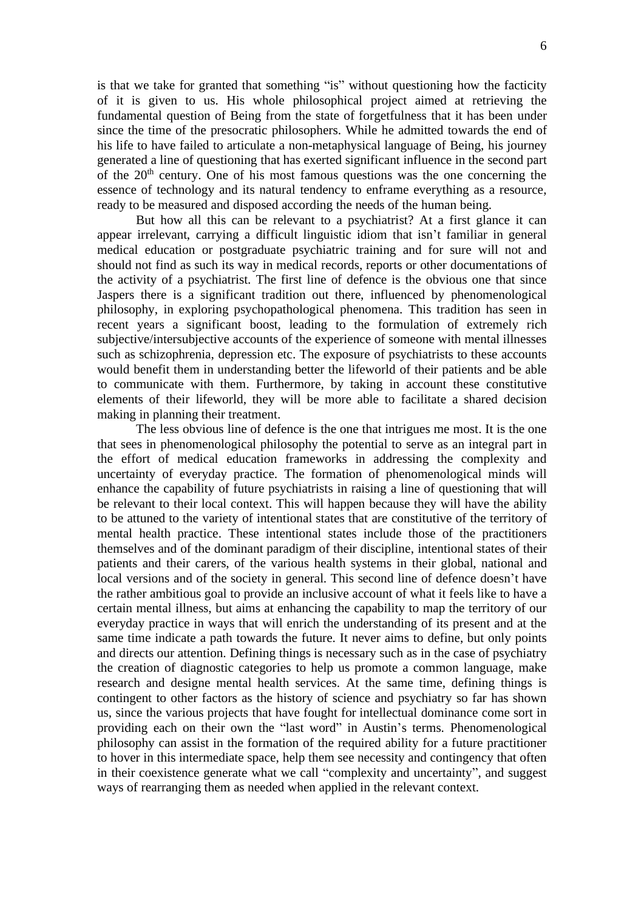is that we take for granted that something "is" without questioning how the facticity of it is given to us. His whole philosophical project aimed at retrieving the fundamental question of Being from the state of forgetfulness that it has been under since the time of the presocratic philosophers. While he admitted towards the end of his life to have failed to articulate a non-metaphysical language of Being, his journey generated a line of questioning that has exerted significant influence in the second part of the  $20<sup>th</sup>$  century. One of his most famous questions was the one concerning the essence of technology and its natural tendency to enframe everything as a resource, ready to be measured and disposed according the needs of the human being.

But how all this can be relevant to a psychiatrist? At a first glance it can appear irrelevant, carrying a difficult linguistic idiom that isn't familiar in general medical education or postgraduate psychiatric training and for sure will not and should not find as such its way in medical records, reports or other documentations of the activity of a psychiatrist. The first line of defence is the obvious one that since Jaspers there is a significant tradition out there, influenced by phenomenological philosophy, in exploring psychopathological phenomena. This tradition has seen in recent years a significant boost, leading to the formulation of extremely rich subjective/intersubjective accounts of the experience of someone with mental illnesses such as schizophrenia, depression etc. The exposure of psychiatrists to these accounts would benefit them in understanding better the lifeworld of their patients and be able to communicate with them. Furthermore, by taking in account these constitutive elements of their lifeworld, they will be more able to facilitate a shared decision making in planning their treatment.

The less obvious line of defence is the one that intrigues me most. It is the one that sees in phenomenological philosophy the potential to serve as an integral part in the effort of medical education frameworks in addressing the complexity and uncertainty of everyday practice. The formation of phenomenological minds will enhance the capability of future psychiatrists in raising a line of questioning that will be relevant to their local context. This will happen because they will have the ability to be attuned to the variety of intentional states that are constitutive of the territory of mental health practice. These intentional states include those of the practitioners themselves and of the dominant paradigm of their discipline, intentional states of their patients and their carers, of the various health systems in their global, national and local versions and of the society in general. This second line of defence doesn't have the rather ambitious goal to provide an inclusive account of what it feels like to have a certain mental illness, but aims at enhancing the capability to map the territory of our everyday practice in ways that will enrich the understanding of its present and at the same time indicate a path towards the future. It never aims to define, but only points and directs our attention. Defining things is necessary such as in the case of psychiatry the creation of diagnostic categories to help us promote a common language, make research and designe mental health services. At the same time, defining things is contingent to other factors as the history of science and psychiatry so far has shown us, since the various projects that have fought for intellectual dominance come sort in providing each on their own the "last word" in Austin's terms. Phenomenological philosophy can assist in the formation of the required ability for a future practitioner to hover in this intermediate space, help them see necessity and contingency that often in their coexistence generate what we call "complexity and uncertainty", and suggest ways of rearranging them as needed when applied in the relevant context.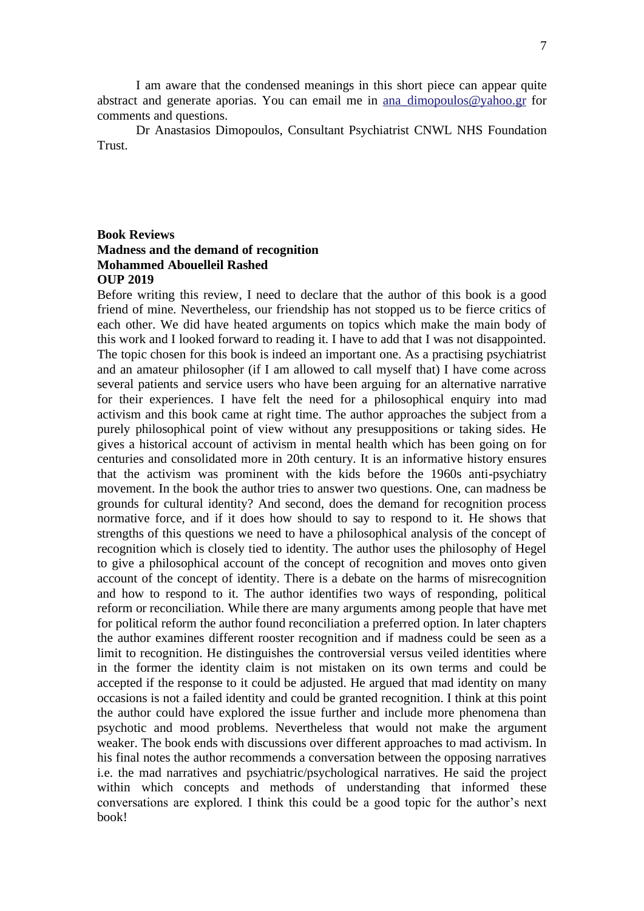I am aware that the condensed meanings in this short piece can appear quite abstract and generate aporias. You can email me in [ana\\_dimopoulos@yahoo.gr](mailto:ana_dimopoulos@yahoo.gr) for comments and questions.

Dr Anastasios Dimopoulos, Consultant Psychiatrist CNWL NHS Foundation Trust.

## **Book Reviews Madness and the demand of recognition Mohammed Abouelleil Rashed OUP 2019**

Before writing this review, I need to declare that the author of this book is a good friend of mine. Nevertheless, our friendship has not stopped us to be fierce critics of each other. We did have heated arguments on topics which make the main body of this work and I looked forward to reading it. I have to add that I was not disappointed. The topic chosen for this book is indeed an important one. As a practising psychiatrist and an amateur philosopher (if I am allowed to call myself that) I have come across several patients and service users who have been arguing for an alternative narrative for their experiences. I have felt the need for a philosophical enquiry into mad activism and this book came at right time. The author approaches the subject from a purely philosophical point of view without any presuppositions or taking sides. He gives a historical account of activism in mental health which has been going on for centuries and consolidated more in 20th century. It is an informative history ensures that the activism was prominent with the kids before the 1960s anti-psychiatry movement. In the book the author tries to answer two questions. One, can madness be grounds for cultural identity? And second, does the demand for recognition process normative force, and if it does how should to say to respond to it. He shows that strengths of this questions we need to have a philosophical analysis of the concept of recognition which is closely tied to identity. The author uses the philosophy of Hegel to give a philosophical account of the concept of recognition and moves onto given account of the concept of identity. There is a debate on the harms of misrecognition and how to respond to it. The author identifies two ways of responding, political reform or reconciliation. While there are many arguments among people that have met for political reform the author found reconciliation a preferred option. In later chapters the author examines different rooster recognition and if madness could be seen as a limit to recognition. He distinguishes the controversial versus veiled identities where in the former the identity claim is not mistaken on its own terms and could be accepted if the response to it could be adjusted. He argued that mad identity on many occasions is not a failed identity and could be granted recognition. I think at this point the author could have explored the issue further and include more phenomena than psychotic and mood problems. Nevertheless that would not make the argument weaker. The book ends with discussions over different approaches to mad activism. In his final notes the author recommends a conversation between the opposing narratives i.e. the mad narratives and psychiatric/psychological narratives. He said the project within which concepts and methods of understanding that informed these conversations are explored. I think this could be a good topic for the author's next book!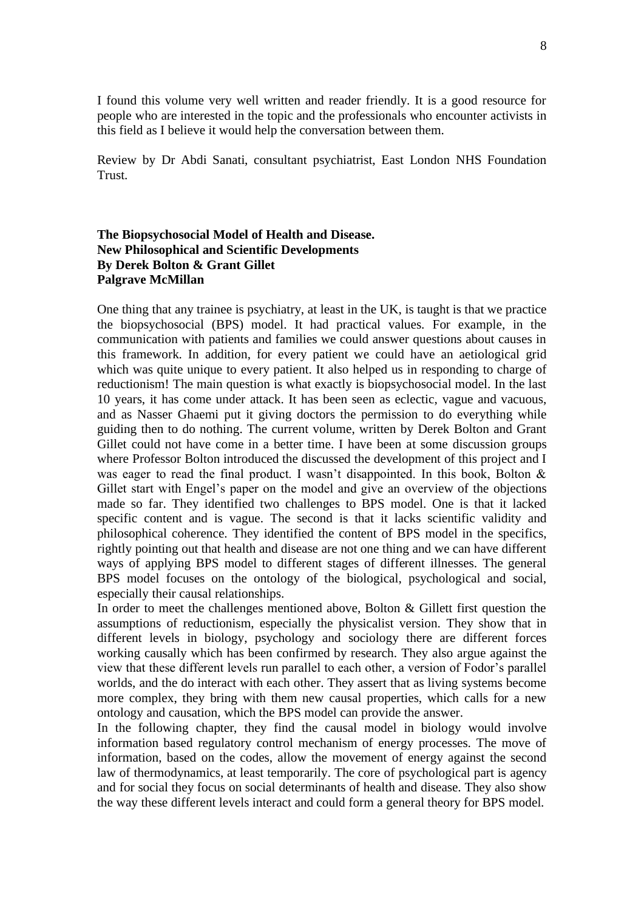I found this volume very well written and reader friendly. It is a good resource for people who are interested in the topic and the professionals who encounter activists in this field as I believe it would help the conversation between them.

Review by Dr Abdi Sanati, consultant psychiatrist, East London NHS Foundation Trust.

# **The Biopsychosocial Model of Health and Disease. New Philosophical and Scientific Developments By Derek Bolton & Grant Gillet Palgrave McMillan**

One thing that any trainee is psychiatry, at least in the UK, is taught is that we practice the biopsychosocial (BPS) model. It had practical values. For example, in the communication with patients and families we could answer questions about causes in this framework. In addition, for every patient we could have an aetiological grid which was quite unique to every patient. It also helped us in responding to charge of reductionism! The main question is what exactly is biopsychosocial model. In the last 10 years, it has come under attack. It has been seen as eclectic, vague and vacuous, and as Nasser Ghaemi put it giving doctors the permission to do everything while guiding then to do nothing. The current volume, written by Derek Bolton and Grant Gillet could not have come in a better time. I have been at some discussion groups where Professor Bolton introduced the discussed the development of this project and I was eager to read the final product. I wasn't disappointed. In this book, Bolton & Gillet start with Engel's paper on the model and give an overview of the objections made so far. They identified two challenges to BPS model. One is that it lacked specific content and is vague. The second is that it lacks scientific validity and philosophical coherence. They identified the content of BPS model in the specifics, rightly pointing out that health and disease are not one thing and we can have different ways of applying BPS model to different stages of different illnesses. The general BPS model focuses on the ontology of the biological, psychological and social, especially their causal relationships.

In order to meet the challenges mentioned above, Bolton & Gillett first question the assumptions of reductionism, especially the physicalist version. They show that in different levels in biology, psychology and sociology there are different forces working causally which has been confirmed by research. They also argue against the view that these different levels run parallel to each other, a version of Fodor's parallel worlds, and the do interact with each other. They assert that as living systems become more complex, they bring with them new causal properties, which calls for a new ontology and causation, which the BPS model can provide the answer.

In the following chapter, they find the causal model in biology would involve information based regulatory control mechanism of energy processes. The move of information, based on the codes, allow the movement of energy against the second law of thermodynamics, at least temporarily. The core of psychological part is agency and for social they focus on social determinants of health and disease. They also show the way these different levels interact and could form a general theory for BPS model.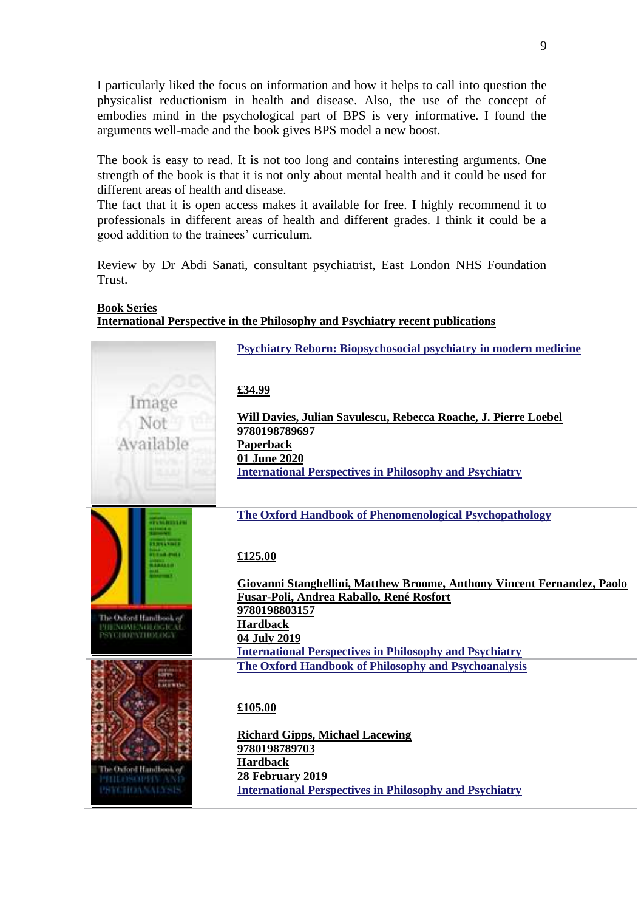I particularly liked the focus on information and how it helps to call into question the physicalist reductionism in health and disease. Also, the use of the concept of embodies mind in the psychological part of BPS is very informative. I found the arguments well-made and the book gives BPS model a new boost.

The book is easy to read. It is not too long and contains interesting arguments. One strength of the book is that it is not only about mental health and it could be used for different areas of health and disease.

The fact that it is open access makes it available for free. I highly recommend it to professionals in different areas of health and different grades. I think it could be a good addition to the trainees' curriculum.

Review by Dr Abdi Sanati, consultant psychiatrist, East London NHS Foundation Trust.

#### **Book Series**

**International Perspective in the Philosophy and Psychiatry recent publications**

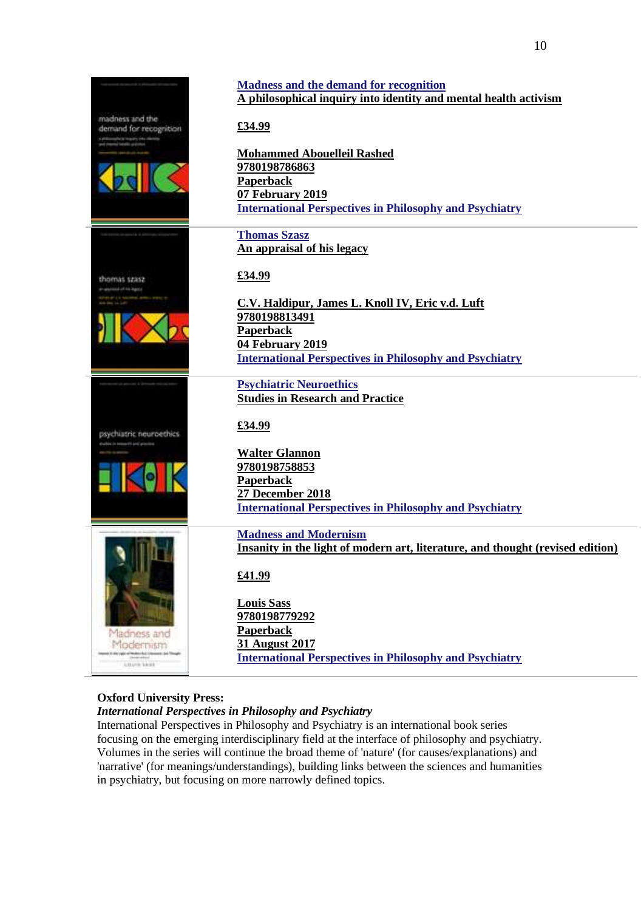

10

## **Oxford University Press:**

## *International Perspectives in Philosophy and Psychiatry*

International Perspectives in Philosophy and Psychiatry is an international book series focusing on the emerging interdisciplinary field at the interface of philosophy and psychiatry. Volumes in the series will continue the broad theme of 'nature' (for causes/explanations) and 'narrative' (for meanings/understandings), building links between the sciences and humanities in psychiatry, but focusing on more narrowly defined topics.